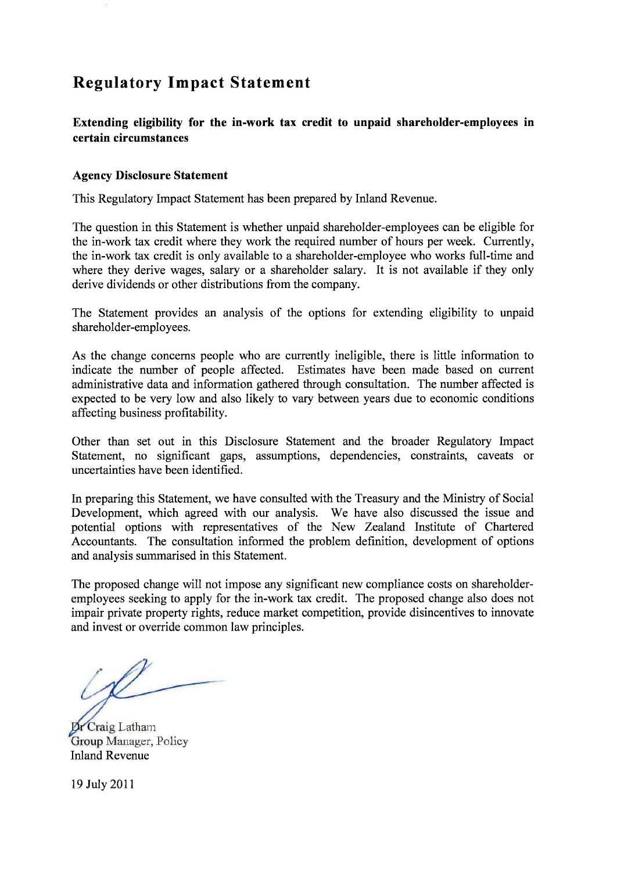# **Regulatory Impact Statement**

**Extending eligibility for the in-work tax credit to unpaid shareholder-employees in certain circumstances** 

#### **Agency Disclosure Statement**

This Regulatory Impact Statement has been prepared by Inland Revenue.

The question in this Statement is whether unpaid shareholder-employees can be eligible for the in-work tax credit where they work the required number of hours per week. Currently, the in-work tax credit is only available to a shareholder-employee who works full-time and where they derive wages, salary or a shareholder salary. It is not available if they only derive dividends or other distributions from the company.

The Statement provides an analysis of the options for extending eligibility to unpaid shareholder-employees.

As the change concerns people who are currently ineligible, there is little information to indicate the number of people affected. Estimates have been made based on current administrative data and information gathered through consultation. The number affected is expected to be very low and also likely to vary between years due to economic conditions affecting business profitability.

Other than set out in this Disclosure Statement and the broader Regulatory Impact Statement, no significant gaps, assumptions, dependencies, constraints, caveats or uncertainties have been identified.

In preparing this Statement, we have consulted with the Treasury and the Ministry of Social Development, which agreed with our analysis. We have also discussed the issue and potential options with representatives of the New Zealand Institute of Chartered Accountants. The consultation informed the problem definition, development of options and analysis summarised in this Statement.

The proposed change will not impose any significant new compliance costs on shareholderemployees seeking to apply for the in-work tax credit. The proposed change also does not impair private property rights, reduce market competition, provide disincentives to innovate and invest or override common law principles.

Dr Craig Latham Group Manager, Policy Inland Revenue

19 July 2011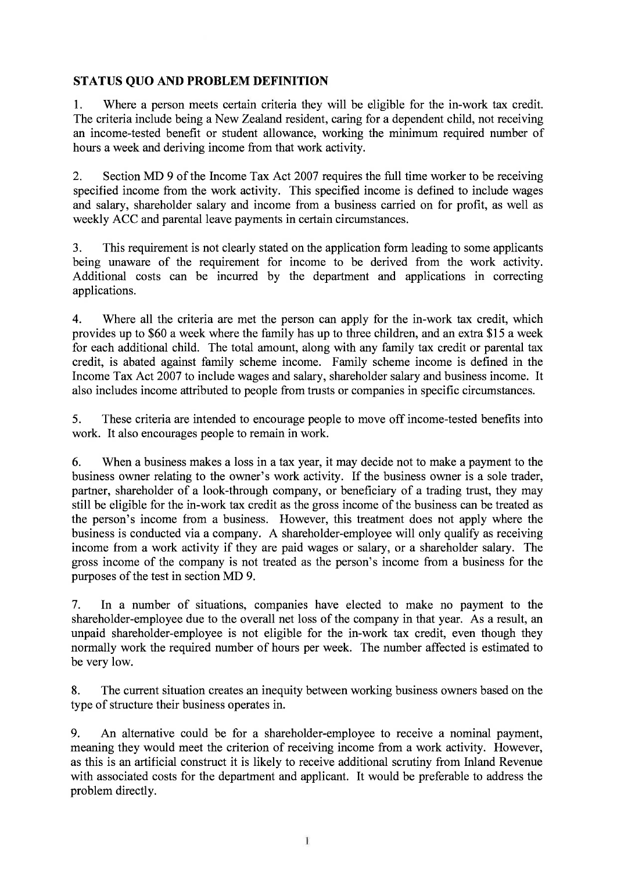## **STATUS QUO AND PROBLEM DEFINITION**

1. Where a person meets certain criteria they will be eligible for the in-work tax credit. The criteria include being a New Zealand resident, caring for a dependent child, not receiving an income-tested benefit or student allowance, working the minimum required number of hours a week and deriving income from that work activity.

2. Section MD 9 of the Income Tax Act 2007 requires the full time worker to be receiving specified income from the work activity. This specified income is defined to include wages and salary, shareholder salary and income from a business carried on for profit, as well as weekly ACC and parental leave payments in certain circumstances.

3. This requirement is not clearly stated on the application form leading to some applicants being unaware of the requirement for income to be derived from the work activity. Additional costs can be incurred by the department and applications in correcting applications.

4. Where all the criteria are met the person can apply for the in-work tax credit, which provides up to \$60 a week where the family has up to three children, and an extra \$15 a week for each additional child. The total amount, along with any family tax credit or parental tax credit, is abated against family scheme income. Family scheme income is defined in the Income Tax Act 2007 to include wages and salary, shareholder salary and business income. It also includes income attributed to people from trusts or companies in specific circumstances.

5. These criteria are intended to encourage people to move off income-tested benefits into work. It also encourages people to remain in work.

6. When a business makes a loss in a tax year, it may decide not to make a payment to the business owner relating to the owner's work activity. If the business owner is a sole trader, partner, shareholder of a look-through company, or beneficiary of a trading trust, they may still be eligible for the in-work tax credit as the gross income of the business can be treated as the person's income from a business. However, this treatment does not apply where the business is conducted via a company. A shareholder-employee will only qualify as receiving income from a work activity if they are paid wages or salary, or a shareholder salary. The gross income of the company is not treated as the person's income from a business for the purposes of the test in section MD 9.

7. In a number of situations, companies have elected to make no payment to the shareholder-employee due to the overall net loss of the company in that year. As a result, an unpaid shareholder-employee is not eligible for the in-work tax credit, even though they normally work the required number of hours per week. The number affected is estimated to be very low.

8. The current situation creates an inequity between working business owners based on the type of structure their business operates in.

9. An alternative could be for a shareholder-employee to receive a nominal payment, meaning they would meet the criterion of receiving income from a work activity. However, as this is an artificial construct it is likely to receive additional scrutiny from Inland Revenue with associated costs for the department and applicant. It would be preferable to address the problem directly.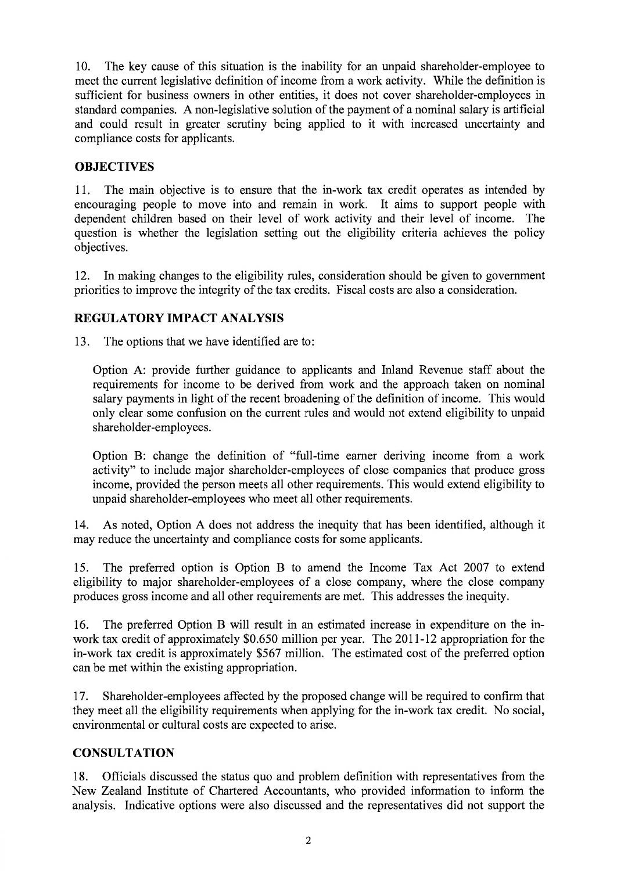10. The key cause of this situation is the inability for an unpaid shareholder-employee to meet the current legislative definition of income from a work activity. While the definition is sufficient for business owners in other entities, it does not cover shareholder-employees in standard companies. A non-legislative solution of the payment of a nominal salary is artificial and could result in greater scrutiny being applied to it with increased uncertainty and compliance costs for applicants.

## **OBJECTIVES**

11. The main objective is to ensure that the in-work tax credit operates as intended by encouraging people to move into and remain in work. It aims to support people with dependent children based on their level of work activity and their level of income. The question is whether the legislation setting out the eligibility criteria achieves the policy objectives.

12. In making changes to the eligibility rules, consideration should be given to government priorities to improve the integrity of the tax credits. Fiscal costs are also a consideration.

## **REGULATORY IMPACT ANALYSIS**

13. The options that we have identified are to:

Option A: provide further guidance to applicants and Inland Revenue staff about the requirements for income to be derived from work and the approach taken on nominal salary payments in light of the recent broadening of the definition of income. This would only clear some confusion on the current rules and would not extend eligibility to unpaid shareholder-employees.

Option B: change the definition of "full-time earner deriving income from a work activity" to include major shareholder-employees of close companies that produce gross income, provided the person meets all other requirements. This would extend eligibility to unpaid shareholder-employees who meet all other requirements.

14. As noted, Option A does not address the inequity that has been identified, although it may reduce the uncertainty and compliance costs for some applicants.

15. The preferred option is Option B to amend the Income Tax Act 2007 to extend eligibility to major shareholder-employees of a close company, where the close company produces gross income and all other requirements are met. This addresses the inequity.

16. The preferred Option B will result in an estimated increase in expenditure on the inwork tax credit of approximately \$0,650 million per year. The 2011-12 appropriation for the in-work tax credit is approximately \$567 million. The estimated cost of the preferred option can be met within the existing appropriation.

17. Shareholder-employees affected by the proposed change will be required to confirm that they meet all the eligibility requirements when applying for the in-work tax credit. No social, environmental or cultural costs are expected to arise.

## **CONSULTATION**

18. Officials discussed the status quo and problem definition with representatives from the New Zealand Institute of Chartered Accountants, who provided information to inform the analysis. Indicative options were also discussed and the representatives did not support the